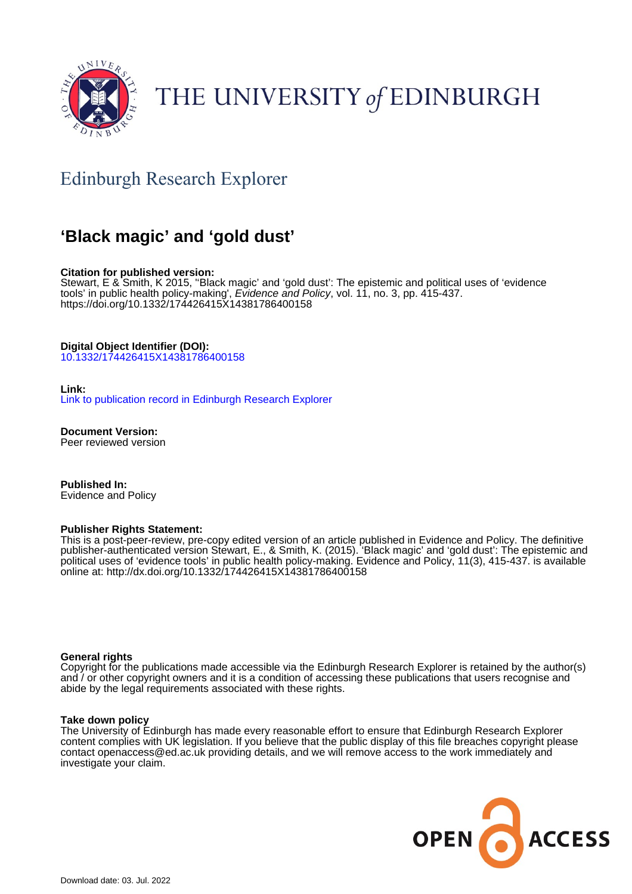

# THE UNIVERSITY of EDINBURGH

# Edinburgh Research Explorer

## **'Black magic' and 'gold dust'**

#### **Citation for published version:**

Stewart, E & Smith, K 2015, ''Black magic' and 'gold dust': The epistemic and political uses of 'evidence tools' in public health policy-making', Evidence and Policy, vol. 11, no. 3, pp. 415-437. <https://doi.org/10.1332/174426415X14381786400158>

#### **Digital Object Identifier (DOI):**

[10.1332/174426415X14381786400158](https://doi.org/10.1332/174426415X14381786400158)

#### **Link:**

[Link to publication record in Edinburgh Research Explorer](https://www.research.ed.ac.uk/en/publications/353f7e58-00ed-43dc-8c39-c9a0e22a91fd)

**Document Version:** Peer reviewed version

**Published In:** Evidence and Policy

#### **Publisher Rights Statement:**

This is a post-peer-review, pre-copy edited version of an article published in Evidence and Policy. The definitive publisher-authenticated version Stewart, E., & Smith, K. (2015). 'Black magic' and 'gold dust': The epistemic and political uses of 'evidence tools' in public health policy-making. Evidence and Policy, 11(3), 415-437. is available online at: http://dx.doi.org/10.1332/174426415X14381786400158

#### **General rights**

Copyright for the publications made accessible via the Edinburgh Research Explorer is retained by the author(s) and / or other copyright owners and it is a condition of accessing these publications that users recognise and abide by the legal requirements associated with these rights.

#### **Take down policy**

The University of Edinburgh has made every reasonable effort to ensure that Edinburgh Research Explorer content complies with UK legislation. If you believe that the public display of this file breaches copyright please contact openaccess@ed.ac.uk providing details, and we will remove access to the work immediately and investigate your claim.

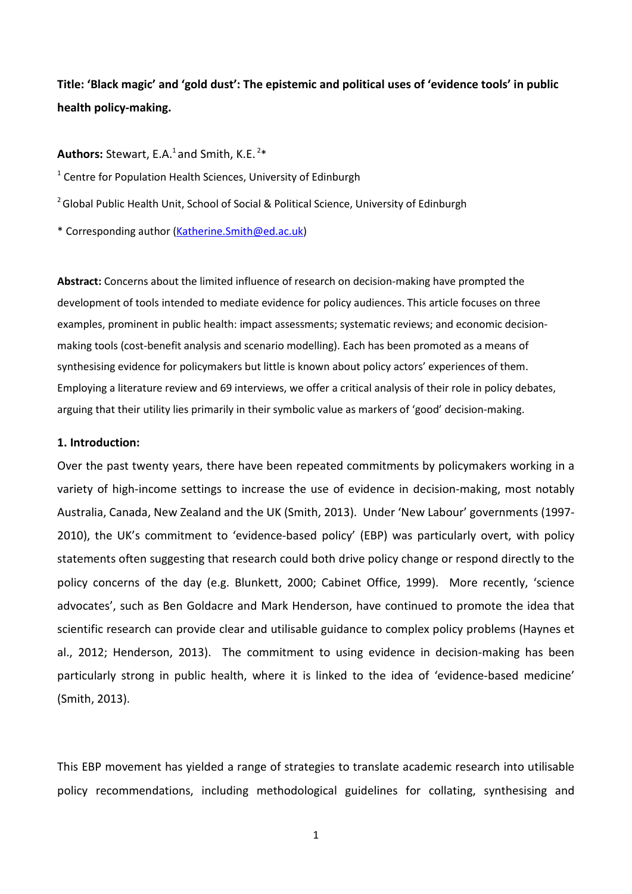### **Title: 'Black magic' and 'gold dust': The epistemic and political uses of 'evidence tools' in public health policy-making.**

Authors: Stewart, E.A.<sup>1</sup> and Smith, K.E.<sup>2\*</sup>

 $1$  Centre for Population Health Sciences, University of Edinburgh

<sup>2</sup> Global Public Health Unit, School of Social & Political Science, University of Edinburgh

\* Corresponding author [\(Katherine.Smith@ed.ac.uk\)](mailto:Katherine.Smith@ed.ac.uk)

**Abstract:** Concerns about the limited influence of research on decision-making have prompted the development of tools intended to mediate evidence for policy audiences. This article focuses on three examples, prominent in public health: impact assessments; systematic reviews; and economic decisionmaking tools (cost-benefit analysis and scenario modelling). Each has been promoted as a means of synthesising evidence for policymakers but little is known about policy actors' experiences of them. Employing a literature review and 69 interviews, we offer a critical analysis of their role in policy debates, arguing that their utility lies primarily in their symbolic value as markers of 'good' decision-making.

#### **1. Introduction:**

Over the past twenty years, there have been repeated commitments by policymakers working in a variety of high-income settings to increase the use of evidence in decision-making, most notably Australia, Canada, New Zealand and the UK (Smith, 2013). Under 'New Labour' governments (1997- 2010), the UK's commitment to 'evidence-based policy' (EBP) was particularly overt, with policy statements often suggesting that research could both drive policy change or respond directly to the policy concerns of the day (e.g. Blunkett, 2000; Cabinet Office, 1999). More recently, 'science advocates', such as Ben Goldacre and Mark Henderson, have continued to promote the idea that scientific research can provide clear and utilisable guidance to complex policy problems (Haynes et al., 2012; Henderson, 2013). The commitment to using evidence in decision-making has been particularly strong in public health, where it is linked to the idea of 'evidence-based medicine' (Smith, 2013).

<span id="page-1-0"></span>This EBP movement has yielded a range of strategies to translate academic research into utilisable policy recommendations, including methodological guidelines for collating, synthesising and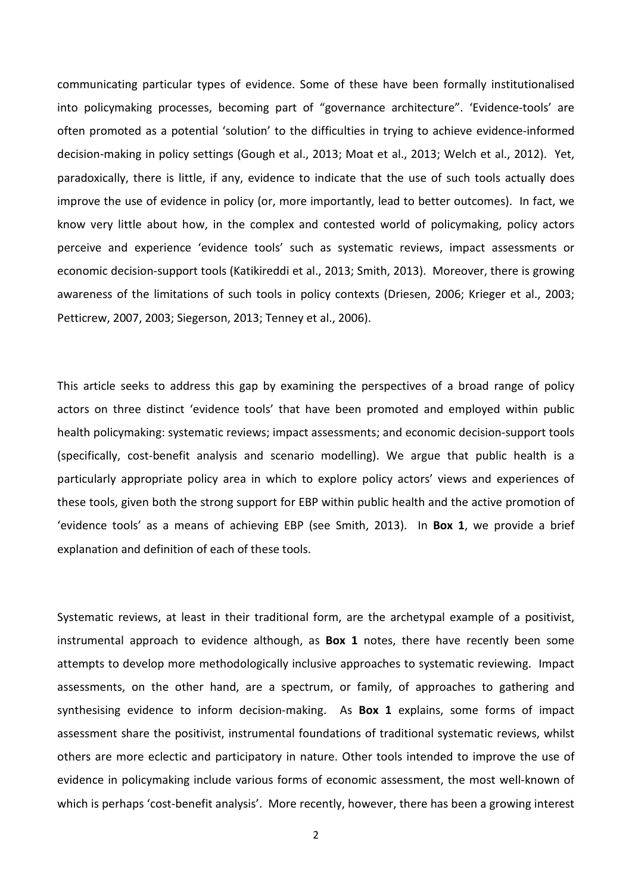communicating particular types of evidence. Some of these have been formally institutionalised into policymaking processes, becoming part of "governance architecture". 'Evidence-tools' are often promoted as a potential 'solution' to the difficulties in trying to achieve evidence-informed decision-making in policy settings (Gough et al., 2013; Moat et al., 2013; Welch et al., 2012). Yet, paradoxically, there is little, if any, evidence to indicate that the use of such tools actually does improve the use of evidence in policy (or, more importantly, lead to better outcomes). In fact, we know very little about how, in the complex and contested world of policymaking, policy actors perceive and experience 'evidence tools' such as systematic reviews, impact assessments or economic decision-support tools (Katikireddi et al., 2013; Smith, 2013). Moreover, there is growing awareness of the limitations of such tools in policy contexts (Driesen, 2006; Krieger et al., 2003; Petticrew, 2007, 2003; Siegerson, 2013; Tenney et al., 2006).

This article seeks to address this gap by examining the perspectives of a broad range of policy actors on three distinct 'evidence tools' that have been promoted and employed within public health policymaking: systematic reviews; impact assessments; and economic decision-support tools (specifically, cost-benefit analysis and scenario modelling). We argue that public health is a particularly appropriate policy area in which to explore policy actors' views and experiences of these tools, given both the strong support for EBP within public health and the active promotion of 'evidence tools' as a means of achieving EBP (see Smith, 2013). In **Box 1**, we provide a brief explanation and definition of each of these tools.

Systematic reviews, at least in their traditional form, are the archetypal example of a positivist, instrumental approach to evidence although, as **Box 1** notes, there have recently been some attempts to develop more methodologically inclusive approaches to systematic reviewing. Impact assessments, on the other hand, are a spectrum, or family, of approaches to gathering and synthesising evidence to inform decision-making. As **Box 1** explains, some forms of impact assessment share the positivist, instrumental foundations of traditional systematic reviews, whilst others are more eclectic and participatory in nature. Other tools intended to improve the use of evidence in policymaking include various forms of economic assessment, the most well-known of which is perhaps 'cost-benefit analysis'. More recently, however, there has been a growing interest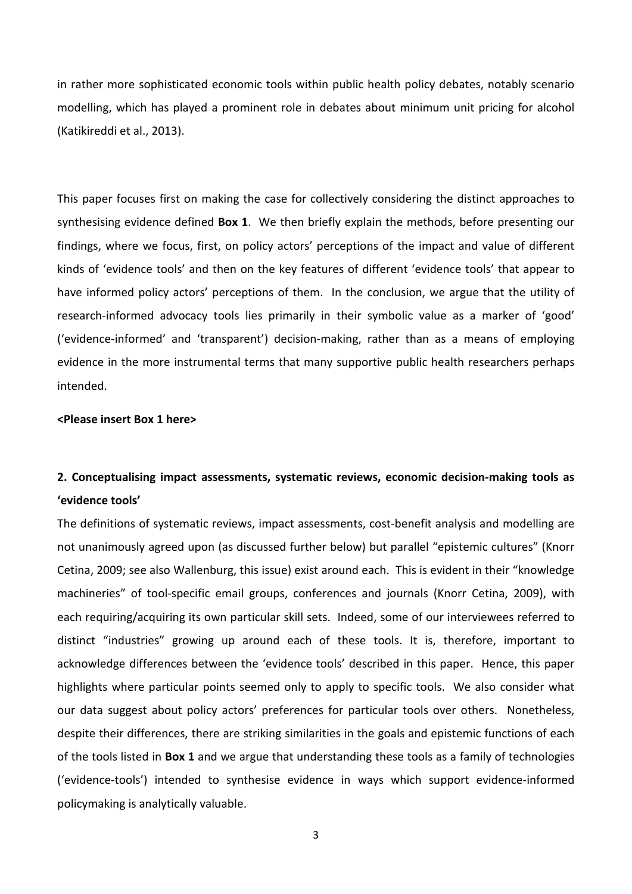in rather more sophisticated economic tools within public health policy debates, notably scenario modelling, which has played a prominent role in debates about minimum unit pricing for alcohol (Katikireddi et al., 2013).

This paper focuses first on making the case for collectively considering the distinct approaches to synthesising evidence defined **Box 1**. We then briefly explain the methods, before presenting our findings, where we focus, first, on policy actors' perceptions of the impact and value of different kinds of 'evidence tools' and then on the key features of different 'evidence tools' that appear to have informed policy actors' perceptions of them. In the conclusion, we argue that the utility of research-informed advocacy tools lies primarily in their symbolic value as a marker of 'good' ('evidence-informed' and 'transparent') decision-making, rather than as a means of employing evidence in the more instrumental terms that many supportive public health researchers perhaps intended.

#### **<Please insert Box 1 here>**

### **2. Conceptualising impact assessments, systematic reviews, economic decision-making tools as 'evidence tools'**

The definitions of systematic reviews, impact assessments, cost-benefit analysis and modelling are not unanimously agreed upon (as discussed further below) but parallel "epistemic cultures" (Knorr Cetina, 2009; see also Wallenburg, this issue) exist around each. This is evident in their "knowledge machineries" of tool-specific email groups, conferences and journals (Knorr Cetina, 2009), with each requiring/acquiring its own particular skill sets. Indeed, some of our interviewees referred to distinct "industries" growing up around each of these tools. It is, therefore, important to acknowledge differences between the 'evidence tools' described in this paper. Hence, this paper highlights where particular points seemed only to apply to specific tools. We also consider what our data suggest about policy actors' preferences for particular tools over others. Nonetheless, despite their differences, there are striking similarities in the goals and epistemic functions of each of the tools listed in **Box 1** and we argue that understanding these tools as a family of technologies ('evidence-tools') intended to synthesise evidence in ways which support evidence-informed policymaking is analytically valuable.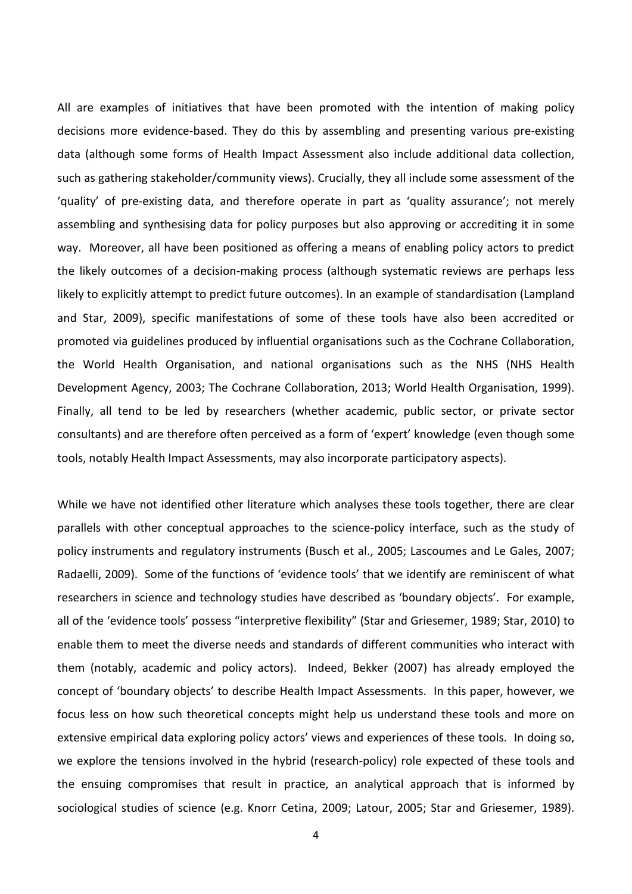All are examples of initiatives that have been promoted with the intention of making policy decisions more evidence-based. They do this by assembling and presenting various pre-existing data (although some forms of Health Impact Assessment also include additional data collection, such as gathering stakeholder/community views). Crucially, they all include some assessment of the 'quality' of pre-existing data, and therefore operate in part as 'quality assurance'; not merely assembling and synthesising data for policy purposes but also approving or accrediting it in some way. Moreover, all have been positioned as offering a means of enabling policy actors to predict the likely outcomes of a decision-making process (although systematic reviews are perhaps less likely to explicitly attempt to predict future outcomes). In an example of standardisation (Lampland and Star, 2009), specific manifestations of some of these tools have also been accredited or promoted via guidelines produced by influential organisations such as the Cochrane Collaboration, the World Health Organisation, and national organisations such as the NHS (NHS Health Development Agency, 2003; The Cochrane Collaboration, 2013; World Health Organisation, 1999). Finally, all tend to be led by researchers (whether academic, public sector, or private sector consultants) and are therefore often perceived as a form of 'expert' knowledge (even though some tools, notably Health Impact Assessments, may also incorporate participatory aspects).

While we have not identified other literature which analyses these tools together, there are clear parallels with other conceptual approaches to the science-policy interface, such as the study of policy instruments and regulatory instruments (Busch et al., 2005; Lascoumes and Le Gales, 2007; Radaelli, 2009). Some of the functions of 'evidence tools' that we identify are reminiscent of what researchers in science and technology studies have described as 'boundary objects'. For example, all of the 'evidence tools' possess "interpretive flexibility" (Star and Griesemer, 1989; Star, 2010) to enable them to meet the diverse needs and standards of different communities who interact with them (notably, academic and policy actors). Indeed, Bekker (2007) has already employed the concept of 'boundary objects' to describe Health Impact Assessments. In this paper, however, we focus less on how such theoretical concepts might help us understand these tools and more on extensive empirical data exploring policy actors' views and experiences of these tools. In doing so, we explore the tensions involved in the hybrid (research-policy) role expected of these tools and the ensuing compromises that result in practice, an analytical approach that is informed by sociological studies of science (e.g. Knorr Cetina, 2009; Latour, 2005; Star and Griesemer, 1989).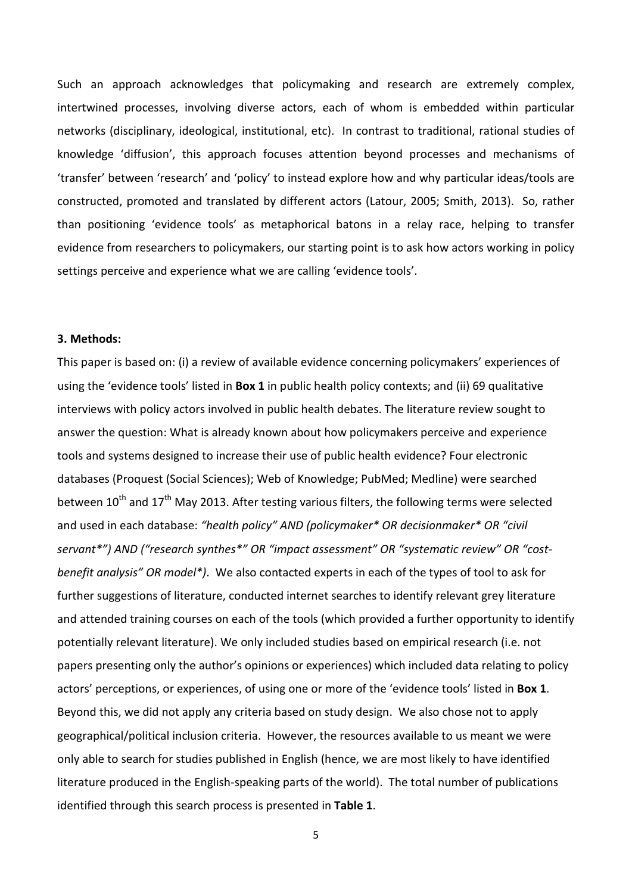Such an approach acknowledges that policymaking and research are extremely complex, intertwined processes, involving diverse actors, each of whom is embedded within particular networks (disciplinary, ideological, institutional, etc). In contrast to traditional, rational studies of knowledge 'diffusion', this approach focuses attention beyond processes and mechanisms of 'transfer' between 'research' and 'policy' to instead explore how and why particular ideas/tools are constructed, promoted and translated by different actors (Latour, 2005; Smith, 2013). So, rather than positioning 'evidence tools' as metaphorical batons in a relay race, helping to transfer evidence from researchers to policymakers, our starting point is to ask how actors working in policy settings perceive and experience what we are calling 'evidence tools'.

#### **3. Methods:**

This paper is based on: (i) a review of available evidence concerning policymakers' experiences of using the 'evidence tools' listed in **Box 1** in public health policy contexts; and (ii) 69 qualitative interviews with policy actors involved in public health debates. The literature review sought to answer the question: What is already known about how policymakers perceive and experience tools and systems designed to increase their use of public health evidence? Four electronic databases (Proquest (Social Sciences); Web of Knowledge; PubMed; Medline) were searched between  $10^{th}$  and  $17^{th}$  May 2013. After testing various filters, the following terms were selected and used in each database: *"health policy" AND (policymaker\* OR decisionmaker\* OR "civil servant\*") AND ("research synthes\*" OR "impact assessment" OR "systematic review" OR "costbenefit analysis" OR model\*)*. We also contacted experts in each of the types of tool to ask for further suggestions of literature, conducted internet searches to identify relevant grey literature and attended training courses on each of the tools (which provided a further opportunity to identify potentially relevant literature). We only included studies based on empirical research (i.e. not papers presenting only the author's opinions or experiences) which included data relating to policy actors' perceptions, or experiences, of using one or more of the 'evidence tools' listed in **Box 1**. Beyond this, we did not apply any criteria based on study design. We also chose not to apply geographical/political inclusion criteria. However, the resources available to us meant we were only able to search for studies published in English (hence, we are most likely to have identified literature produced in the English-speaking parts of the world). The total number of publications identified through this search process is presented in **Table 1**.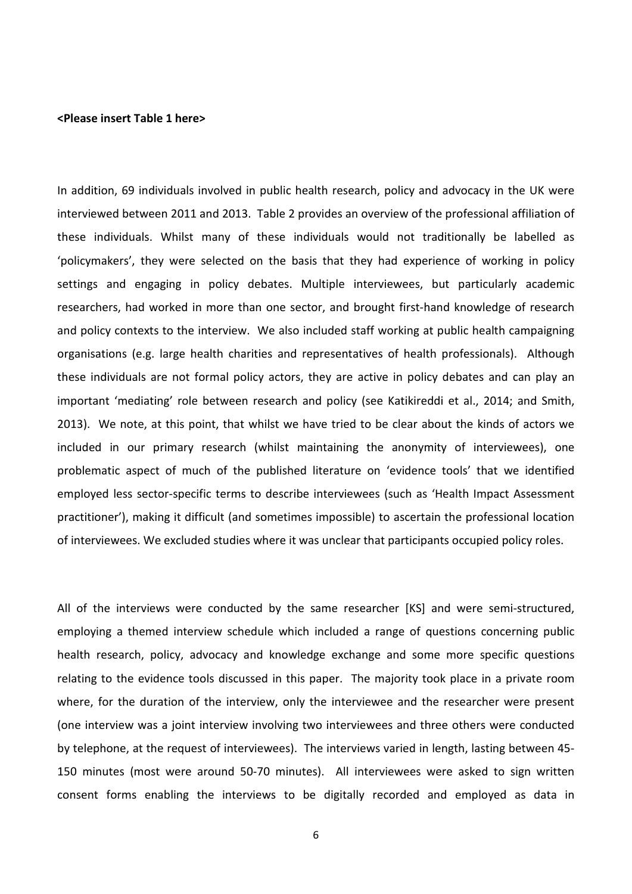#### **<Please insert Table 1 here>**

In addition, 69 individuals involved in public health research, policy and advocacy in the UK were interviewed between 2011 and 2013. Table 2 provides an overview of the professional affiliation of these individuals. Whilst many of these individuals would not traditionally be labelled as 'policymakers', they were selected on the basis that they had experience of working in policy settings and engaging in policy debates. Multiple interviewees, but particularly academic researchers, had worked in more than one sector, and brought first-hand knowledge of research and policy contexts to the interview. We also included staff working at public health campaigning organisations (e.g. large health charities and representatives of health professionals). Although these individuals are not formal policy actors, they are active in policy debates and can play an important 'mediating' role between research and policy (see Katikireddi et al., 2014; and Smith, 2013). We note, at this point, that whilst we have tried to be clear about the kinds of actors we included in our primary research (whilst maintaining the anonymity of interviewees), one problematic aspect of much of the published literature on 'evidence tools' that we identified employed less sector-specific terms to describe interviewees (such as 'Health Impact Assessment practitioner'), making it difficult (and sometimes impossible) to ascertain the professional location of interviewees. We excluded studies where it was unclear that participants occupied policy roles.

All of the interviews were conducted by the same researcher [KS] and were semi-structured, employing a themed interview schedule which included a range of questions concerning public health research, policy, advocacy and knowledge exchange and some more specific questions relating to the evidence tools discussed in this paper. The majority took place in a private room where, for the duration of the interview, only the interviewee and the researcher were present (one interview was a joint interview involving two interviewees and three others were conducted by telephone, at the request of interviewees). The interviews varied in length, lasting between 45- 150 minutes (most were around 50-70 minutes). All interviewees were asked to sign written consent forms enabling the interviews to be digitally recorded and employed as data in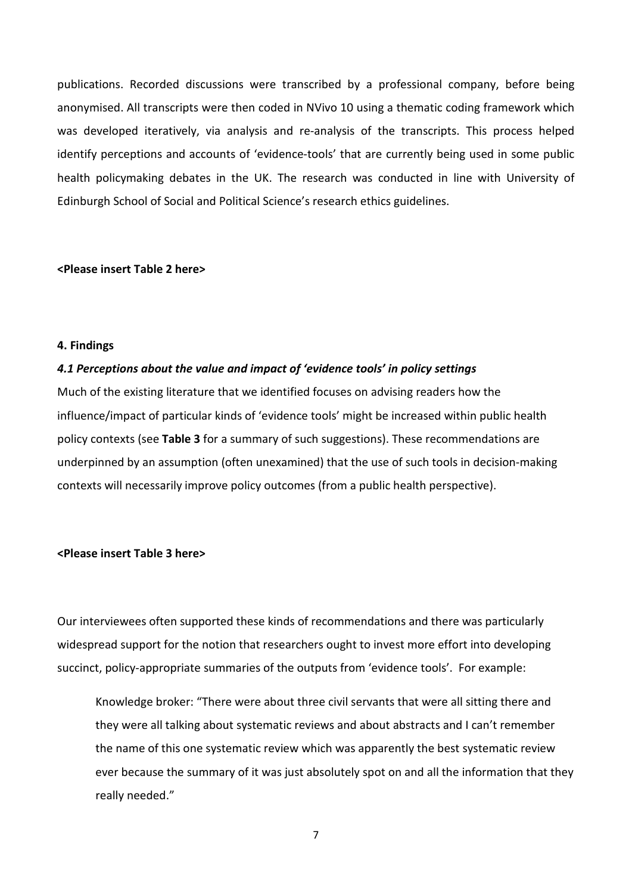publications. Recorded discussions were transcribed by a professional company, before being anonymised. All transcripts were then coded in NVivo 10 using a thematic coding framework which was developed iteratively, via analysis and re-analysis of the transcripts. This process helped identify perceptions and accounts of 'evidence-tools' that are currently being used in some public health policymaking debates in the UK. The research was conducted in line with University of Edinburgh School of Social and Political Science's research ethics guidelines.

#### **<Please insert Table 2 here>**

#### **4. Findings**

#### *4.1 Perceptions about the value and impact of 'evidence tools' in policy settings*

Much of the existing literature that we identified focuses on advising readers how the influence/impact of particular kinds of 'evidence tools' might be increased within public health policy contexts (see **Table 3** for a summary of such suggestions). These recommendations are underpinned by an assumption (often unexamined) that the use of such tools in decision-making contexts will necessarily improve policy outcomes (from a public health perspective).

#### **<Please insert Table 3 here>**

Our interviewees often supported these kinds of recommendations and there was particularly widespread support for the notion that researchers ought to invest more effort into developing succinct, policy-appropriate summaries of the outputs from 'evidence tools'. For example:

Knowledge broker: "There were about three civil servants that were all sitting there and they were all talking about systematic reviews and about abstracts and I can't remember the name of this one systematic review which was apparently the best systematic review ever because the summary of it was just absolutely spot on and all the information that they really needed."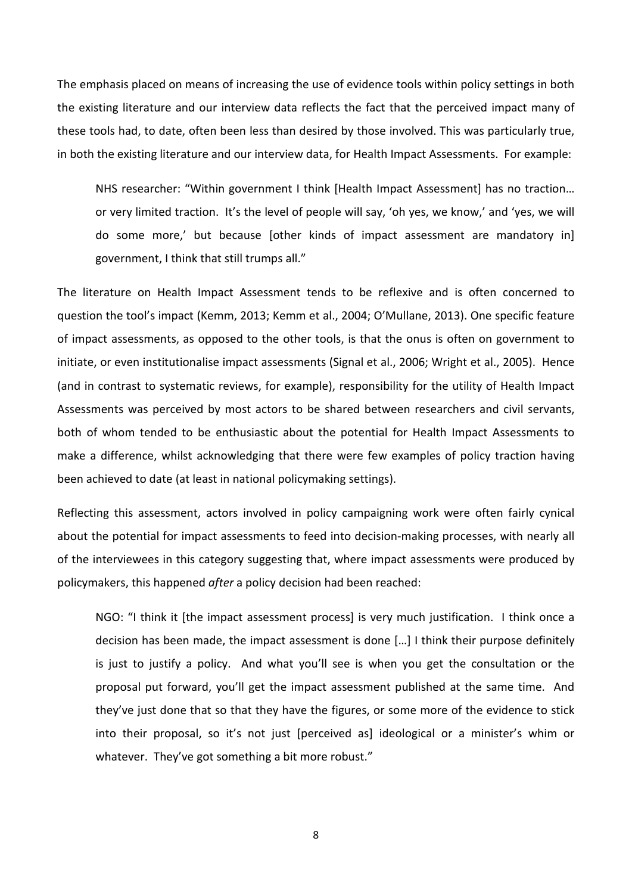The emphasis placed on means of increasing the use of evidence tools within policy settings in both the existing literature and our interview data reflects the fact that the perceived impact many of these tools had, to date, often been less than desired by those involved. This was particularly true, in both the existing literature and our interview data, for Health Impact Assessments. For example:

NHS researcher: "Within government I think [Health Impact Assessment] has no traction… or very limited traction. It's the level of people will say, 'oh yes, we know,' and 'yes, we will do some more,' but because [other kinds of impact assessment are mandatory in] government, I think that still trumps all."

The literature on Health Impact Assessment tends to be reflexive and is often concerned to question the tool's impact (Kemm, 2013; Kemm et al., 2004; O'Mullane, 2013). One specific feature of impact assessments, as opposed to the other tools, is that the onus is often on government to initiate, or even institutionalise impact assessments (Signal et al., 2006; Wright et al., 2005). Hence (and in contrast to systematic reviews, for example), responsibility for the utility of Health Impact Assessments was perceived by most actors to be shared between researchers and civil servants, both of whom tended to be enthusiastic about the potential for Health Impact Assessments to make a difference, whilst acknowledging that there were few examples of policy traction having been achieved to date (at least in national policymaking settings).

Reflecting this assessment, actors involved in policy campaigning work were often fairly cynical about the potential for impact assessments to feed into decision-making processes, with nearly all of the interviewees in this category suggesting that, where impact assessments were produced by policymakers, this happened *after* a policy decision had been reached:

NGO: "I think it [the impact assessment process] is very much justification. I think once a decision has been made, the impact assessment is done […] I think their purpose definitely is just to justify a policy. And what you'll see is when you get the consultation or the proposal put forward, you'll get the impact assessment published at the same time. And they've just done that so that they have the figures, or some more of the evidence to stick into their proposal, so it's not just [perceived as] ideological or a minister's whim or whatever. They've got something a bit more robust."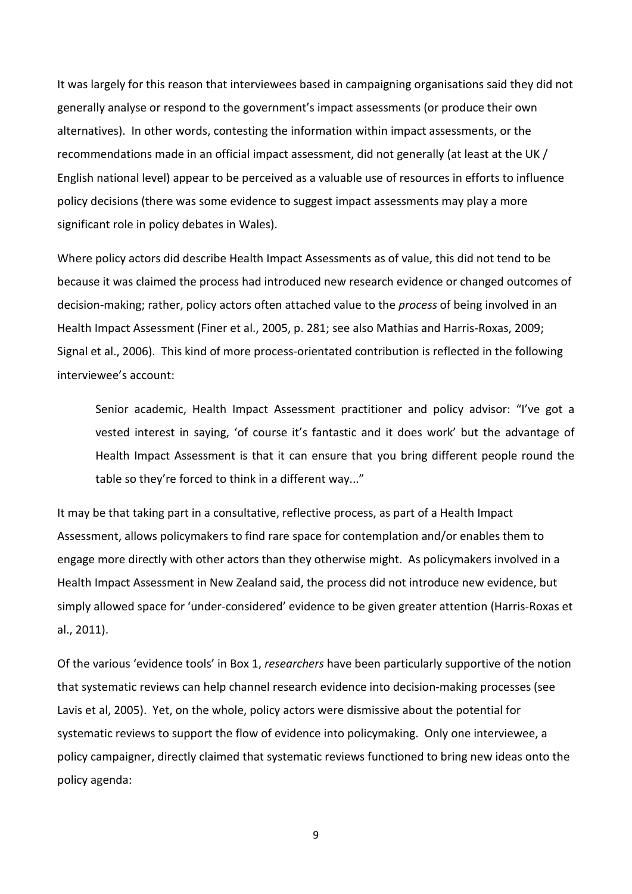It was largely for this reason that interviewees based in campaigning organisations said they did not generally analyse or respond to the government's impact assessments (or produce their own alternatives). In other words, contesting the information within impact assessments, or the recommendations made in an official impact assessment, did not generally (at least at the UK / English national level) appear to be perceived as a valuable use of resources in efforts to influence policy decisions (there was some evidence to suggest impact assessments may play a more significant role in policy debates in Wales).

Where policy actors did describe Health Impact Assessments as of value, this did not tend to be because it was claimed the process had introduced new research evidence or changed outcomes of decision-making; rather, policy actors often attached value to the *process* of being involved in an Health Impact Assessment (Finer et al., 2005, p. 281; see also Mathias and Harris-Roxas, 2009; Signal et al., 2006). This kind of more process-orientated contribution is reflected in the following interviewee's account:

Senior academic, Health Impact Assessment practitioner and policy advisor: "I've got a vested interest in saying, 'of course it's fantastic and it does work' but the advantage of Health Impact Assessment is that it can ensure that you bring different people round the table so they're forced to think in a different way..."

It may be that taking part in a consultative, reflective process, as part of a Health Impact Assessment, allows policymakers to find rare space for contemplation and/or enables them to engage more directly with other actors than they otherwise might. As policymakers involved in a Health Impact Assessment in New Zealand said, the process did not introduce new evidence, but simply allowed space for 'under-considered' evidence to be given greater attention (Harris-Roxas et al., 2011).

Of the various 'evidence tools' in Box 1, *researchers* have been particularly supportive of the notion that systematic reviews can help channel research evidence into decision-making processes (see Lavis et al, 2005). Yet, on the whole, policy actors were dismissive about the potential for systematic reviews to support the flow of evidence into policymaking. Only one interviewee, a policy campaigner, directly claimed that systematic reviews functioned to bring new ideas onto the policy agenda: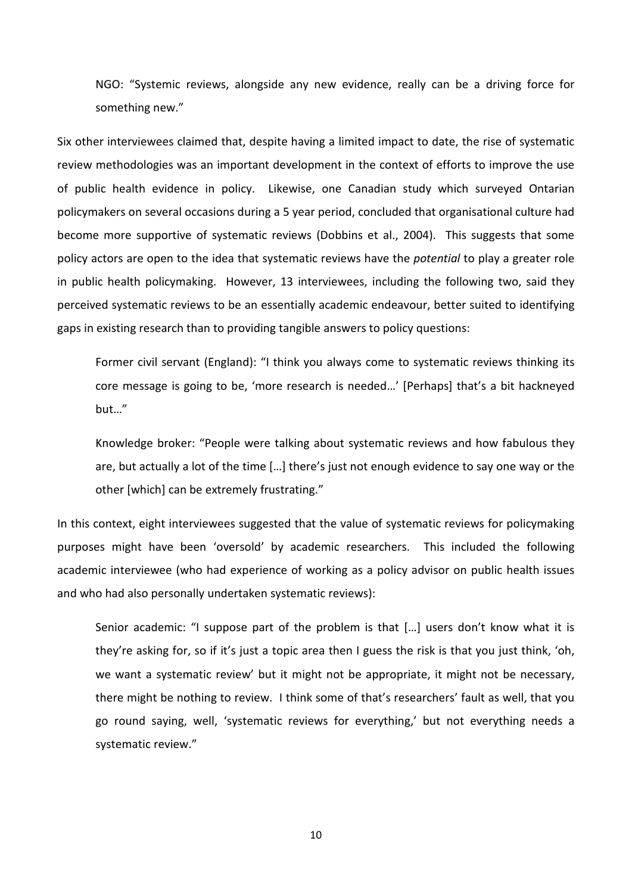NGO: "Systemic reviews, alongside any new evidence, really can be a driving force for something new."

Six other interviewees claimed that, despite having a limited impact to date, the rise of systematic review methodologies was an important development in the context of efforts to improve the use of public health evidence in policy. Likewise, one Canadian study which surveyed Ontarian policymakers on several occasions during a 5 year period, concluded that organisational culture had become more supportive of systematic reviews (Dobbins et al., 2004). This suggests that some policy actors are open to the idea that systematic reviews have the *potential* to play a greater role in public health policymaking. However, 13 interviewees, including the following two, said they perceived systematic reviews to be an essentially academic endeavour, better suited to identifying gaps in existing research than to providing tangible answers to policy questions:

Former civil servant (England): "I think you always come to systematic reviews thinking its core message is going to be, 'more research is needed…' [Perhaps] that's a bit hackneyed but…"

Knowledge broker: "People were talking about systematic reviews and how fabulous they are, but actually a lot of the time […] there's just not enough evidence to say one way or the other [which] can be extremely frustrating."

In this context, eight interviewees suggested that the value of systematic reviews for policymaking purposes might have been 'oversold' by academic researchers. This included the following academic interviewee (who had experience of working as a policy advisor on public health issues and who had also personally undertaken systematic reviews):

Senior academic: "I suppose part of the problem is that […] users don't know what it is they're asking for, so if it's just a topic area then I guess the risk is that you just think, 'oh, we want a systematic review' but it might not be appropriate, it might not be necessary, there might be nothing to review. I think some of that's researchers' fault as well, that you go round saying, well, 'systematic reviews for everything,' but not everything needs a systematic review."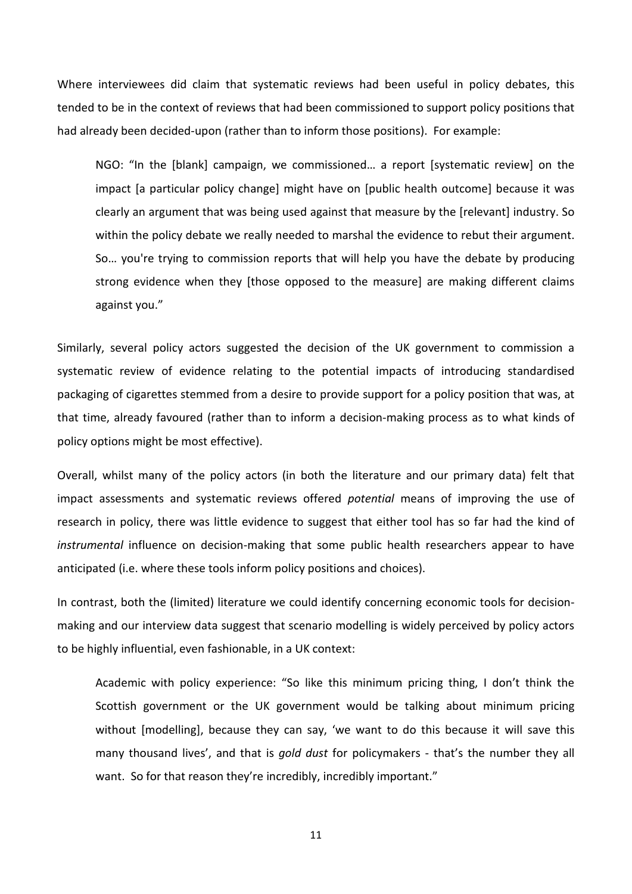Where interviewees did claim that systematic reviews had been useful in policy debates, this tended to be in the context of reviews that had been commissioned to support policy positions that had already been decided-upon (rather than to inform those positions). For example:

NGO: "In the [blank] campaign, we commissioned… a report [systematic review] on the impact [a particular policy change] might have on [public health outcome] because it was clearly an argument that was being used against that measure by the [relevant] industry. So within the policy debate we really needed to marshal the evidence to rebut their argument. So… you're trying to commission reports that will help you have the debate by producing strong evidence when they [those opposed to the measure] are making different claims against you."

Similarly, several policy actors suggested the decision of the UK government to commission a systematic review of evidence relating to the potential impacts of introducing standardised packaging of cigarettes stemmed from a desire to provide support for a policy position that was, at that time, already favoured (rather than to inform a decision-making process as to what kinds of policy options might be most effective).

Overall, whilst many of the policy actors (in both the literature and our primary data) felt that impact assessments and systematic reviews offered *potential* means of improving the use of research in policy, there was little evidence to suggest that either tool has so far had the kind of *instrumental* influence on decision-making that some public health researchers appear to have anticipated (i.e. where these tools inform policy positions and choices).

In contrast, both the (limited) literature we could identify concerning economic tools for decisionmaking and our interview data suggest that scenario modelling is widely perceived by policy actors to be highly influential, even fashionable, in a UK context:

Academic with policy experience: "So like this minimum pricing thing, I don't think the Scottish government or the UK government would be talking about minimum pricing without [modelling], because they can say, 'we want to do this because it will save this many thousand lives', and that is *gold dust* for policymakers - that's the number they all want. So for that reason they're incredibly, incredibly important."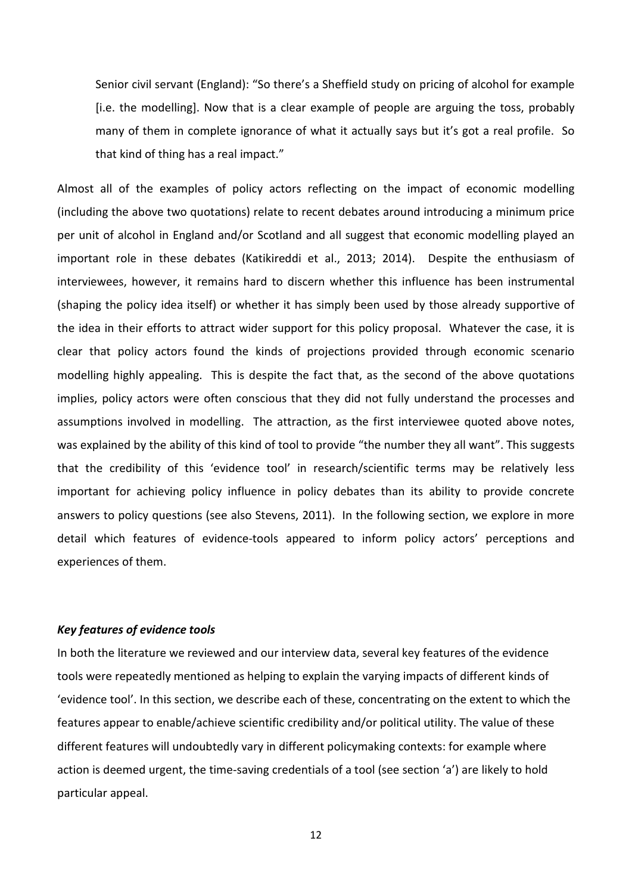Senior civil servant (England): "So there's a Sheffield study on pricing of alcohol for example [i.e. the modelling]. Now that is a clear example of people are arguing the toss, probably many of them in complete ignorance of what it actually says but it's got a real profile. So that kind of thing has a real impact."

Almost all of the examples of policy actors reflecting on the impact of economic modelling (including the above two quotations) relate to recent debates around introducing a minimum price per unit of alcohol in England and/or Scotland and all suggest that economic modelling played an important role in these debates (Katikireddi et al., 2013; 2014). Despite the enthusiasm of interviewees, however, it remains hard to discern whether this influence has been instrumental (shaping the policy idea itself) or whether it has simply been used by those already supportive of the idea in their efforts to attract wider support for this policy proposal. Whatever the case, it is clear that policy actors found the kinds of projections provided through economic scenario modelling highly appealing. This is despite the fact that, as the second of the above quotations implies, policy actors were often conscious that they did not fully understand the processes and assumptions involved in modelling. The attraction, as the first interviewee quoted above notes, was explained by the ability of this kind of tool to provide "the number they all want". This suggests that the credibility of this 'evidence tool' in research/scientific terms may be relatively less important for achieving policy influence in policy debates than its ability to provide concrete answers to policy questions (see also Stevens, 2011). In the following section, we explore in more detail which features of evidence-tools appeared to inform policy actors' perceptions and experiences of them.

#### *Key features of evidence tools*

In both the literature we reviewed and our interview data, several key features of the evidence tools were repeatedly mentioned as helping to explain the varying impacts of different kinds of 'evidence tool'. In this section, we describe each of these, concentrating on the extent to which the features appear to enable/achieve scientific credibility and/or political utility. The value of these different features will undoubtedly vary in different policymaking contexts: for example where action is deemed urgent, the time-saving credentials of a tool (see section 'a') are likely to hold particular appeal.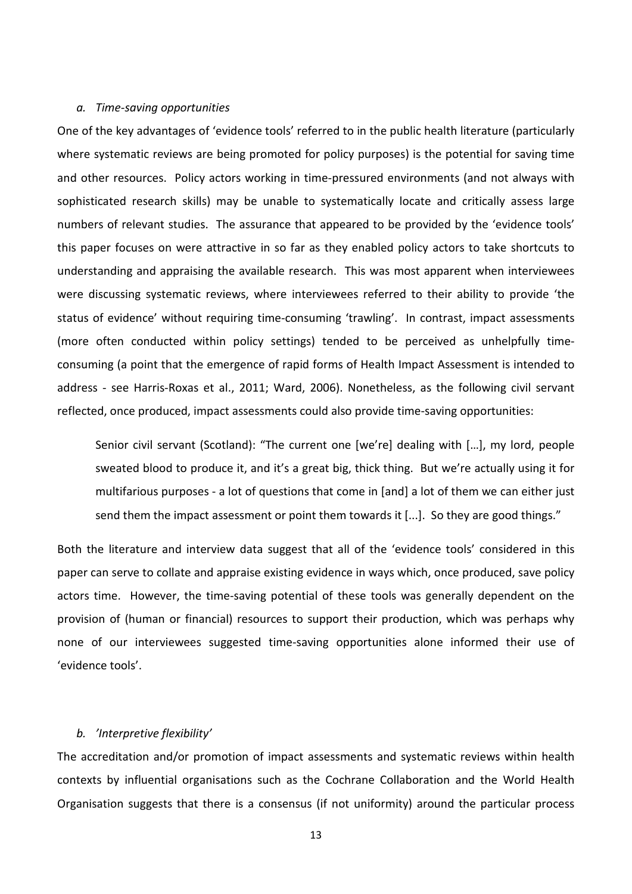#### *a. Time-saving opportunities*

One of the key advantages of 'evidence tools' referred to in the public health literature (particularly where systematic reviews are being promoted for policy purposes) is the potential for saving time and other resources. Policy actors working in time-pressured environments (and not always with sophisticated research skills) may be unable to systematically locate and critically assess large numbers of relevant studies. The assurance that appeared to be provided by the 'evidence tools' this paper focuses on were attractive in so far as they enabled policy actors to take shortcuts to understanding and appraising the available research. This was most apparent when interviewees were discussing systematic reviews, where interviewees referred to their ability to provide 'the status of evidence' without requiring time-consuming 'trawling'. In contrast, impact assessments (more often conducted within policy settings) tended to be perceived as unhelpfully timeconsuming (a point that the emergence of rapid forms of Health Impact Assessment is intended to address - see Harris-Roxas et al., 2011; Ward, 2006). Nonetheless, as the following civil servant reflected, once produced, impact assessments could also provide time-saving opportunities:

Senior civil servant (Scotland): "The current one [we're] dealing with […], my lord, people sweated blood to produce it, and it's a great big, thick thing. But we're actually using it for multifarious purposes - a lot of questions that come in [and] a lot of them we can either just send them the impact assessment or point them towards it [...]. So they are good things."

Both the literature and interview data suggest that all of the 'evidence tools' considered in this paper can serve to collate and appraise existing evidence in ways which, once produced, save policy actors time. However, the time-saving potential of these tools was generally dependent on the provision of (human or financial) resources to support their production, which was perhaps why none of our interviewees suggested time-saving opportunities alone informed their use of 'evidence tools'.

#### *b. 'Interpretive flexibility'*

The accreditation and/or promotion of impact assessments and systematic reviews within health contexts by influential organisations such as the Cochrane Collaboration and the World Health Organisation suggests that there is a consensus (if not uniformity) around the particular process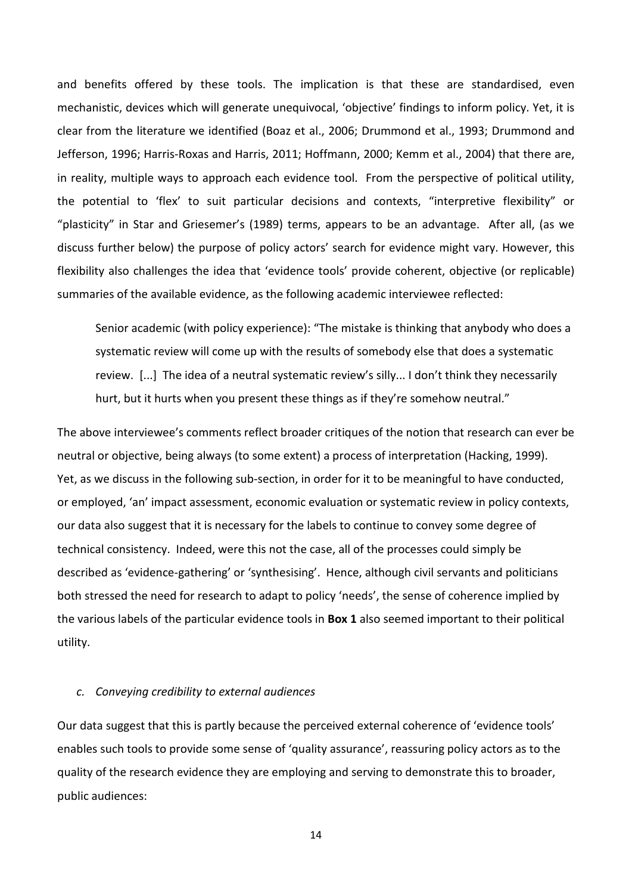and benefits offered by these tools. The implication is that these are standardised, even mechanistic, devices which will generate unequivocal, 'objective' findings to inform policy. Yet, it is clear from the literature we identified (Boaz et al., 2006; Drummond et al., 1993; Drummond and Jefferson, 1996; Harris-Roxas and Harris, 2011; Hoffmann, 2000; Kemm et al., 2004) that there are, in reality, multiple ways to approach each evidence tool. From the perspective of political utility, the potential to 'flex' to suit particular decisions and contexts, "interpretive flexibility" or "plasticity" in Star and Griesemer's (1989) terms, appears to be an advantage. After all, (as we discuss further below) the purpose of policy actors' search for evidence might vary. However, this flexibility also challenges the idea that 'evidence tools' provide coherent, objective (or replicable) summaries of the available evidence, as the following academic interviewee reflected:

Senior academic (with policy experience): "The mistake is thinking that anybody who does a systematic review will come up with the results of somebody else that does a systematic review. [...] The idea of a neutral systematic review's silly... I don't think they necessarily hurt, but it hurts when you present these things as if they're somehow neutral."

The above interviewee's comments reflect broader critiques of the notion that research can ever be neutral or objective, being always (to some extent) a process of interpretation (Hacking, 1999). Yet, as we discuss in the following sub-section, in order for it to be meaningful to have conducted, or employed, 'an' impact assessment, economic evaluation or systematic review in policy contexts, our data also suggest that it is necessary for the labels to continue to convey some degree of technical consistency. Indeed, were this not the case, all of the processes could simply be described as 'evidence-gathering' or 'synthesising'. Hence, although civil servants and politicians both stressed the need for research to adapt to policy 'needs', the sense of coherence implied by the various labels of the particular evidence tools in **Box 1** also seemed important to their political utility.

#### *c. Conveying credibility to external audiences*

Our data suggest that this is partly because the perceived external coherence of 'evidence tools' enables such tools to provide some sense of 'quality assurance', reassuring policy actors as to the quality of the research evidence they are employing and serving to demonstrate this to broader, public audiences: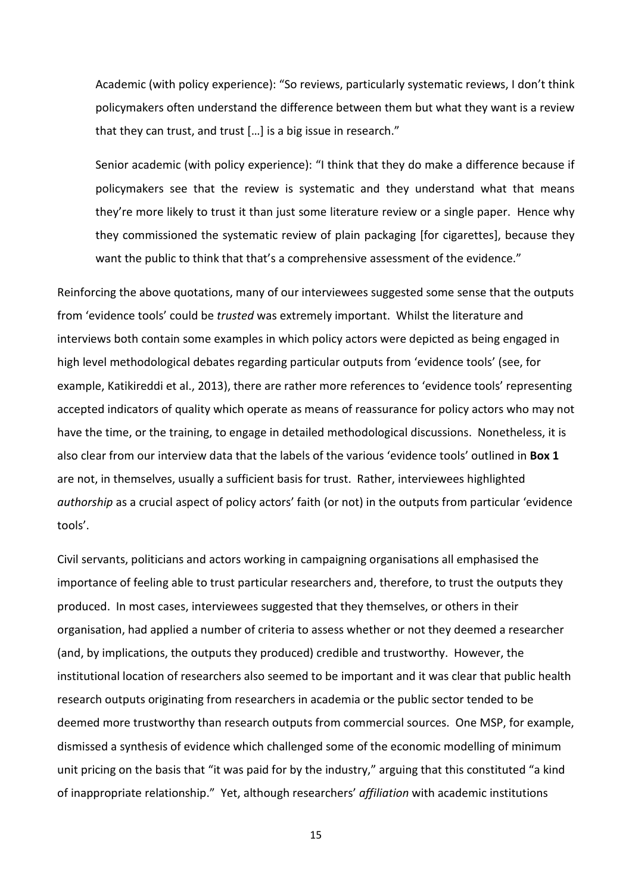Academic (with policy experience): "So reviews, particularly systematic reviews, I don't think policymakers often understand the difference between them but what they want is a review that they can trust, and trust […] is a big issue in research."

Senior academic (with policy experience): "I think that they do make a difference because if policymakers see that the review is systematic and they understand what that means they're more likely to trust it than just some literature review or a single paper. Hence why they commissioned the systematic review of plain packaging [for cigarettes], because they want the public to think that that's a comprehensive assessment of the evidence."

Reinforcing the above quotations, many of our interviewees suggested some sense that the outputs from 'evidence tools' could be *trusted* was extremely important. Whilst the literature and interviews both contain some examples in which policy actors were depicted as being engaged in high level methodological debates regarding particular outputs from 'evidence tools' (see, for example, Katikireddi et al., 2013), there are rather more references to 'evidence tools' representing accepted indicators of quality which operate as means of reassurance for policy actors who may not have the time, or the training, to engage in detailed methodological discussions. Nonetheless, it is also clear from our interview data that the labels of the various 'evidence tools' outlined in **Box 1**  are not, in themselves, usually a sufficient basis for trust. Rather, interviewees highlighted *authorship* as a crucial aspect of policy actors' faith (or not) in the outputs from particular 'evidence tools'.

Civil servants, politicians and actors working in campaigning organisations all emphasised the importance of feeling able to trust particular researchers and, therefore, to trust the outputs they produced. In most cases, interviewees suggested that they themselves, or others in their organisation, had applied a number of criteria to assess whether or not they deemed a researcher (and, by implications, the outputs they produced) credible and trustworthy. However, the institutional location of researchers also seemed to be important and it was clear that public health research outputs originating from researchers in academia or the public sector tended to be deemed more trustworthy than research outputs from commercial sources. One MSP, for example, dismissed a synthesis of evidence which challenged some of the economic modelling of minimum unit pricing on the basis that "it was paid for by the industry," arguing that this constituted "a kind of inappropriate relationship." Yet, although researchers' *affiliation* with academic institutions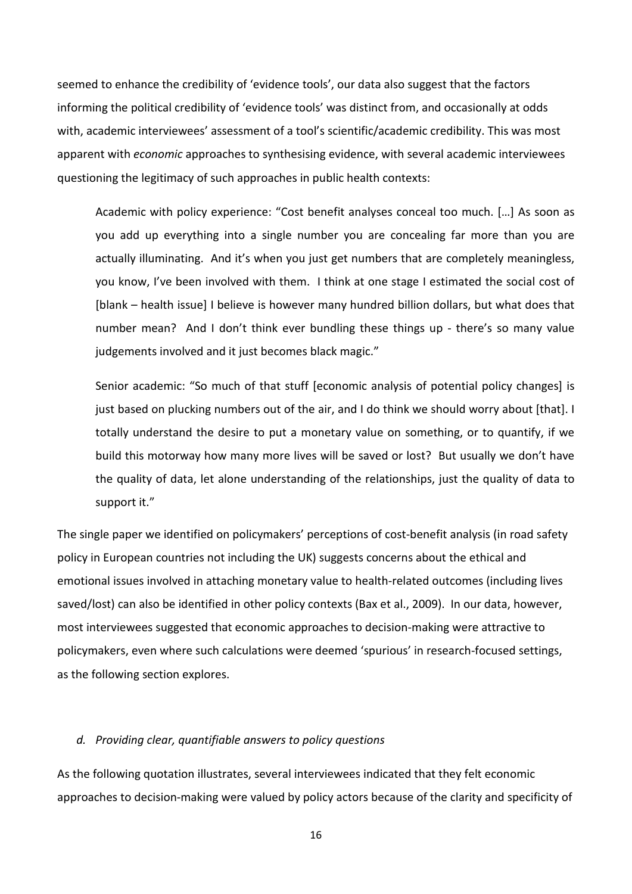seemed to enhance the credibility of 'evidence tools', our data also suggest that the factors informing the political credibility of 'evidence tools' was distinct from, and occasionally at odds with, academic interviewees' assessment of a tool's scientific/academic credibility. This was most apparent with *economic* approaches to synthesising evidence, with several academic interviewees questioning the legitimacy of such approaches in public health contexts:

Academic with policy experience: "Cost benefit analyses conceal too much. […] As soon as you add up everything into a single number you are concealing far more than you are actually illuminating. And it's when you just get numbers that are completely meaningless, you know, I've been involved with them. I think at one stage I estimated the social cost of [blank – health issue] I believe is however many hundred billion dollars, but what does that number mean? And I don't think ever bundling these things up - there's so many value judgements involved and it just becomes black magic."

Senior academic: "So much of that stuff [economic analysis of potential policy changes] is just based on plucking numbers out of the air, and I do think we should worry about [that]. I totally understand the desire to put a monetary value on something, or to quantify, if we build this motorway how many more lives will be saved or lost? But usually we don't have the quality of data, let alone understanding of the relationships, just the quality of data to support it."

The single paper we identified on policymakers' perceptions of cost-benefit analysis (in road safety policy in European countries not including the UK) suggests concerns about the ethical and emotional issues involved in attaching monetary value to health-related outcomes (including lives saved/lost) can also be identified in other policy contexts (Bax et al., 2009). In our data, however, most interviewees suggested that economic approaches to decision-making were attractive to policymakers, even where such calculations were deemed 'spurious' in research-focused settings, as the following section explores.

#### *d. Providing clear, quantifiable answers to policy questions*

As the following quotation illustrates, several interviewees indicated that they felt economic approaches to decision-making were valued by policy actors because of the clarity and specificity of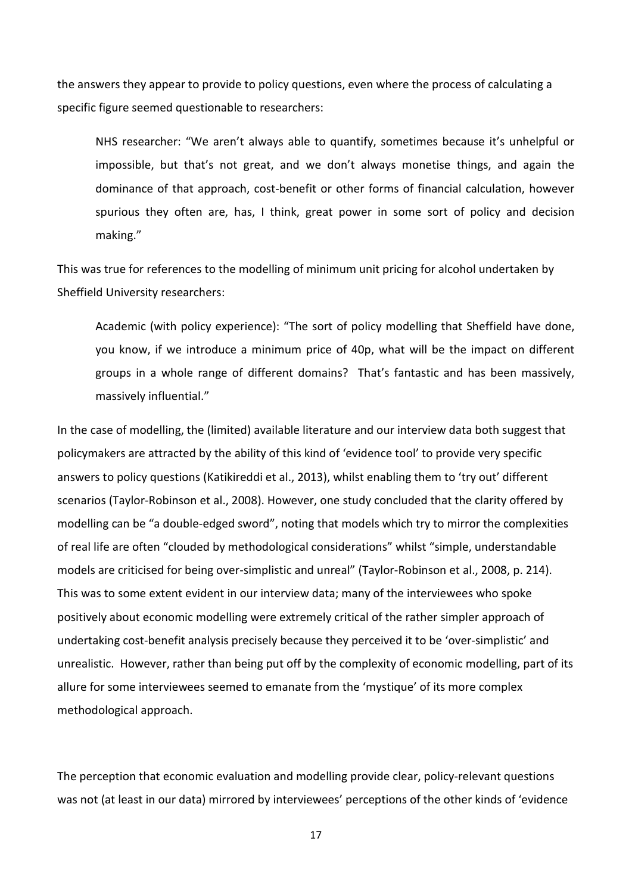the answers they appear to provide to policy questions, even where the process of calculating a specific figure seemed questionable to researchers:

NHS researcher: "We aren't always able to quantify, sometimes because it's unhelpful or impossible, but that's not great, and we don't always monetise things, and again the dominance of that approach, cost-benefit or other forms of financial calculation, however spurious they often are, has, I think, great power in some sort of policy and decision making."

This was true for references to the modelling of minimum unit pricing for alcohol undertaken by Sheffield University researchers:

Academic (with policy experience): "The sort of policy modelling that Sheffield have done, you know, if we introduce a minimum price of 40p, what will be the impact on different groups in a whole range of different domains? That's fantastic and has been massively, massively influential."

In the case of modelling, the (limited) available literature and our interview data both suggest that policymakers are attracted by the ability of this kind of 'evidence tool' to provide very specific answers to policy questions (Katikireddi et al., 2013), whilst enabling them to 'try out' different scenarios (Taylor-Robinson et al., 2008). However, one study concluded that the clarity offered by modelling can be "a double-edged sword", noting that models which try to mirror the complexities of real life are often "clouded by methodological considerations" whilst "simple, understandable models are criticised for being over-simplistic and unreal" (Taylor-Robinson et al., 2008, p. 214). This was to some extent evident in our interview data; many of the interviewees who spoke positively about economic modelling were extremely critical of the rather simpler approach of undertaking cost-benefit analysis precisely because they perceived it to be 'over-simplistic' and unrealistic. However, rather than being put off by the complexity of economic modelling, part of its allure for some interviewees seemed to emanate from the 'mystique' of its more complex methodological approach.

The perception that economic evaluation and modelling provide clear, policy-relevant questions was not (at least in our data) mirrored by interviewees' perceptions of the other kinds of 'evidence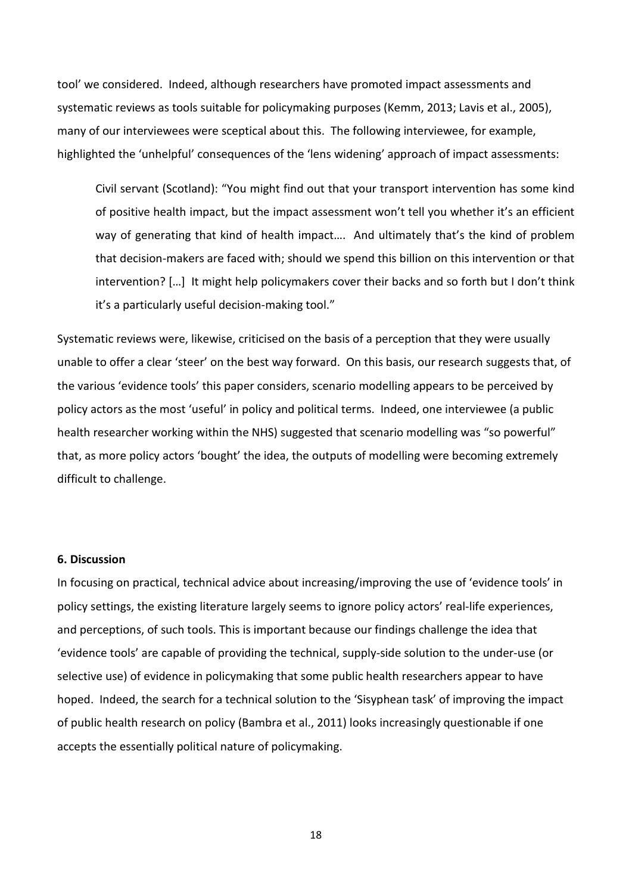tool' we considered. Indeed, although researchers have promoted impact assessments and systematic reviews as tools suitable for policymaking purposes (Kemm, 2013; Lavis et al., 2005), many of our interviewees were sceptical about this. The following interviewee, for example, highlighted the 'unhelpful' consequences of the 'lens widening' approach of impact assessments:

Civil servant (Scotland): "You might find out that your transport intervention has some kind of positive health impact, but the impact assessment won't tell you whether it's an efficient way of generating that kind of health impact…. And ultimately that's the kind of problem that decision-makers are faced with; should we spend this billion on this intervention or that intervention? […] It might help policymakers cover their backs and so forth but I don't think it's a particularly useful decision-making tool."

Systematic reviews were, likewise, criticised on the basis of a perception that they were usually unable to offer a clear 'steer' on the best way forward. On this basis, our research suggests that, of the various 'evidence tools' this paper considers, scenario modelling appears to be perceived by policy actors as the most 'useful' in policy and political terms. Indeed, one interviewee (a public health researcher working within the NHS) suggested that scenario modelling was "so powerful" that, as more policy actors 'bought' the idea, the outputs of modelling were becoming extremely difficult to challenge.

#### **6. Discussion**

In focusing on practical, technical advice about increasing/improving the use of 'evidence tools' in policy settings, the existing literature largely seems to ignore policy actors' real-life experiences, and perceptions, of such tools. This is important because our findings challenge the idea that 'evidence tools' are capable of providing the technical, supply-side solution to the under-use (or selective use) of evidence in policymaking that some public health researchers appear to have hoped. Indeed, the search for a technical solution to the 'Sisyphean task' of improving the impact of public health research on policy (Bambra et al., 2011) looks increasingly questionable if one accepts the essentially political nature of policymaking.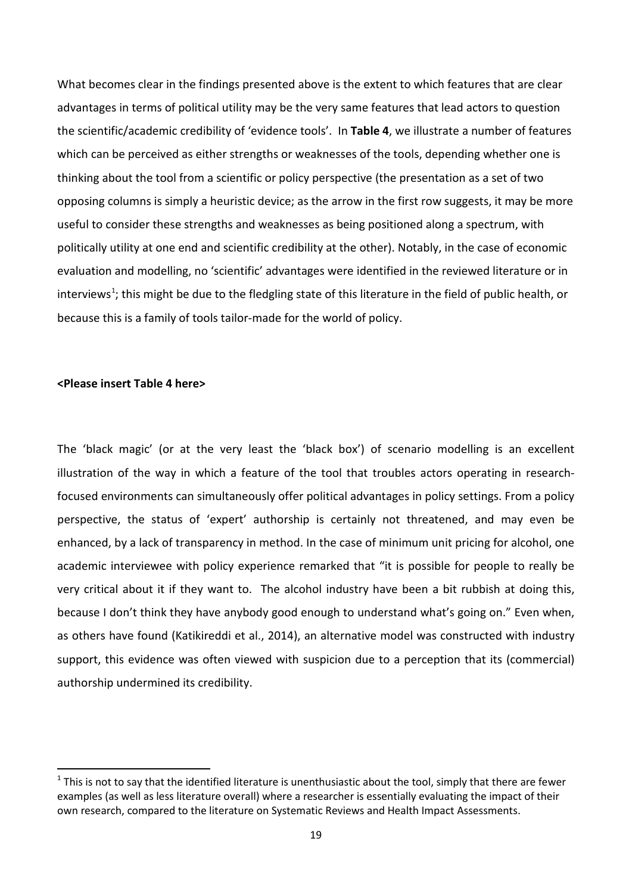What becomes clear in the findings presented above is the extent to which features that are clear advantages in terms of political utility may be the very same features that lead actors to question the scientific/academic credibility of 'evidence tools'. In **Table 4**, we illustrate a number of features which can be perceived as either strengths or weaknesses of the tools, depending whether one is thinking about the tool from a scientific or policy perspective (the presentation as a set of two opposing columns is simply a heuristic device; as the arrow in the first row suggests, it may be more useful to consider these strengths and weaknesses as being positioned along a spectrum, with politically utility at one end and scientific credibility at the other). Notably, in the case of economic evaluation and modelling, no 'scientific' advantages were identified in the reviewed literature or in interviews<sup>[1](#page-1-0)</sup>; this might be due to the fledgling state of this literature in the field of public health, or because this is a family of tools tailor-made for the world of policy.

#### **<Please insert Table 4 here>**

The 'black magic' (or at the very least the 'black box') of scenario modelling is an excellent illustration of the way in which a feature of the tool that troubles actors operating in researchfocused environments can simultaneously offer political advantages in policy settings. From a policy perspective, the status of 'expert' authorship is certainly not threatened, and may even be enhanced, by a lack of transparency in method. In the case of minimum unit pricing for alcohol, one academic interviewee with policy experience remarked that "it is possible for people to really be very critical about it if they want to. The alcohol industry have been a bit rubbish at doing this, because I don't think they have anybody good enough to understand what's going on." Even when, as others have found (Katikireddi et al., 2014), an alternative model was constructed with industry support, this evidence was often viewed with suspicion due to a perception that its (commercial) authorship undermined its credibility.

 $1$  This is not to say that the identified literature is unenthusiastic about the tool, simply that there are fewer examples (as well as less literature overall) where a researcher is essentially evaluating the impact of their own research, compared to the literature on Systematic Reviews and Health Impact Assessments.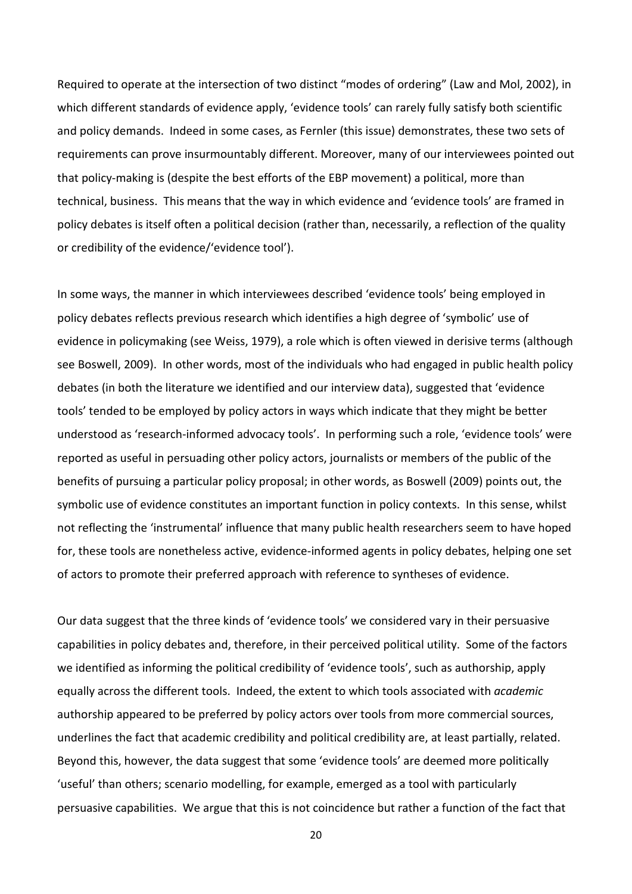Required to operate at the intersection of two distinct "modes of ordering" (Law and Mol, 2002), in which different standards of evidence apply, 'evidence tools' can rarely fully satisfy both scientific and policy demands. Indeed in some cases, as Fernler (this issue) demonstrates, these two sets of requirements can prove insurmountably different. Moreover, many of our interviewees pointed out that policy-making is (despite the best efforts of the EBP movement) a political, more than technical, business. This means that the way in which evidence and 'evidence tools' are framed in policy debates is itself often a political decision (rather than, necessarily, a reflection of the quality or credibility of the evidence/'evidence tool').

In some ways, the manner in which interviewees described 'evidence tools' being employed in policy debates reflects previous research which identifies a high degree of 'symbolic' use of evidence in policymaking (see Weiss, 1979), a role which is often viewed in derisive terms (although see Boswell, 2009). In other words, most of the individuals who had engaged in public health policy debates (in both the literature we identified and our interview data), suggested that 'evidence tools' tended to be employed by policy actors in ways which indicate that they might be better understood as 'research-informed advocacy tools'. In performing such a role, 'evidence tools' were reported as useful in persuading other policy actors, journalists or members of the public of the benefits of pursuing a particular policy proposal; in other words, as Boswell (2009) points out, the symbolic use of evidence constitutes an important function in policy contexts. In this sense, whilst not reflecting the 'instrumental' influence that many public health researchers seem to have hoped for, these tools are nonetheless active, evidence-informed agents in policy debates, helping one set of actors to promote their preferred approach with reference to syntheses of evidence.

Our data suggest that the three kinds of 'evidence tools' we considered vary in their persuasive capabilities in policy debates and, therefore, in their perceived political utility. Some of the factors we identified as informing the political credibility of 'evidence tools', such as authorship, apply equally across the different tools. Indeed, the extent to which tools associated with *academic* authorship appeared to be preferred by policy actors over tools from more commercial sources, underlines the fact that academic credibility and political credibility are, at least partially, related. Beyond this, however, the data suggest that some 'evidence tools' are deemed more politically 'useful' than others; scenario modelling, for example, emerged as a tool with particularly persuasive capabilities. We argue that this is not coincidence but rather a function of the fact that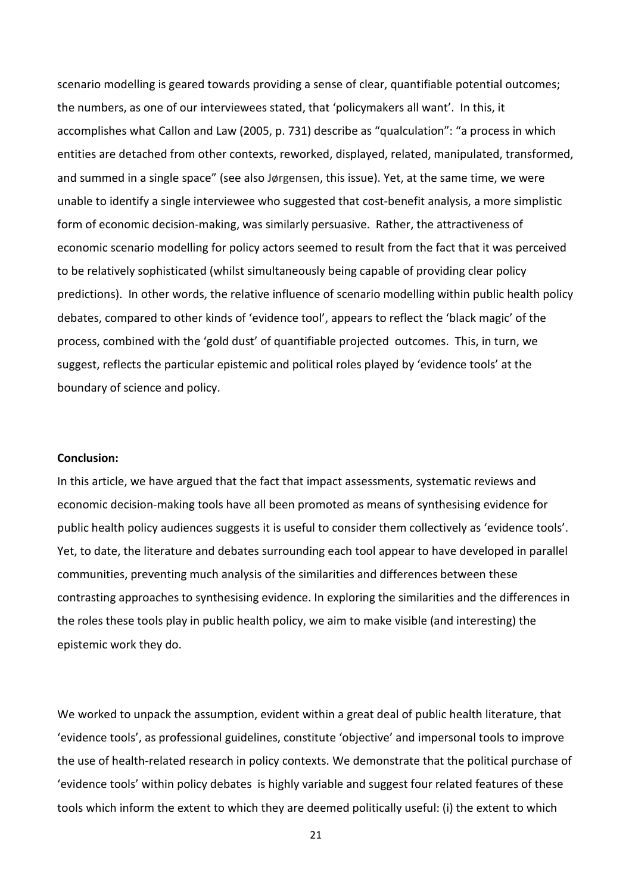scenario modelling is geared towards providing a sense of clear, quantifiable potential outcomes; the numbers, as one of our interviewees stated, that 'policymakers all want'. In this, it accomplishes what Callon and Law (2005, p. 731) describe as "qualculation": "a process in which entities are detached from other contexts, reworked, displayed, related, manipulated, transformed, and summed in a single space" (see also Jørgensen, this issue). Yet, at the same time, we were unable to identify a single interviewee who suggested that cost-benefit analysis, a more simplistic form of economic decision-making, was similarly persuasive. Rather, the attractiveness of economic scenario modelling for policy actors seemed to result from the fact that it was perceived to be relatively sophisticated (whilst simultaneously being capable of providing clear policy predictions). In other words, the relative influence of scenario modelling within public health policy debates, compared to other kinds of 'evidence tool', appears to reflect the 'black magic' of the process, combined with the 'gold dust' of quantifiable projected outcomes. This, in turn, we suggest, reflects the particular epistemic and political roles played by 'evidence tools' at the boundary of science and policy.

#### **Conclusion:**

In this article, we have argued that the fact that impact assessments, systematic reviews and economic decision-making tools have all been promoted as means of synthesising evidence for public health policy audiences suggests it is useful to consider them collectively as 'evidence tools'. Yet, to date, the literature and debates surrounding each tool appear to have developed in parallel communities, preventing much analysis of the similarities and differences between these contrasting approaches to synthesising evidence. In exploring the similarities and the differences in the roles these tools play in public health policy, we aim to make visible (and interesting) the epistemic work they do.

We worked to unpack the assumption, evident within a great deal of public health literature, that 'evidence tools', as professional guidelines, constitute 'objective' and impersonal tools to improve the use of health-related research in policy contexts. We demonstrate that the political purchase of 'evidence tools' within policy debates is highly variable and suggest four related features of these tools which inform the extent to which they are deemed politically useful: (i) the extent to which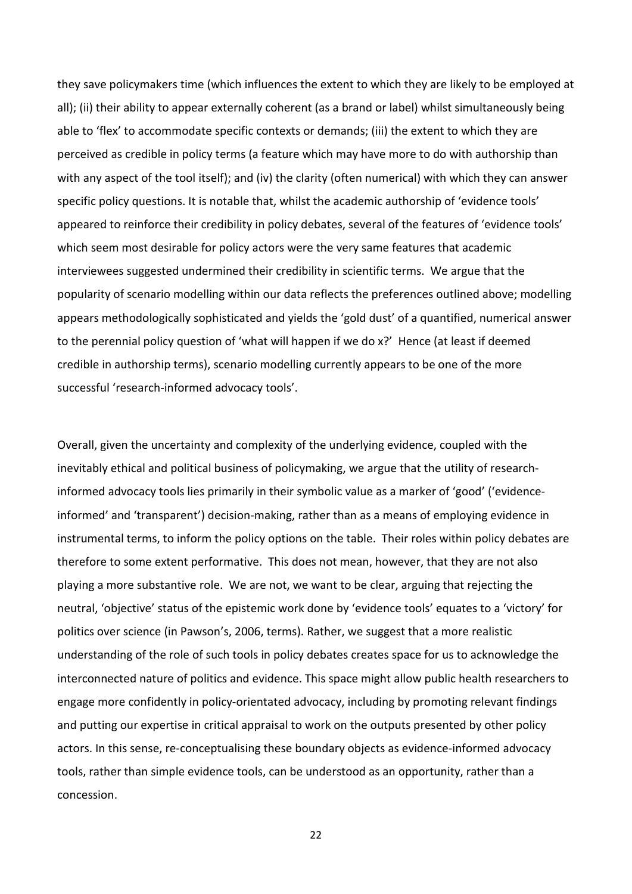they save policymakers time (which influences the extent to which they are likely to be employed at all); (ii) their ability to appear externally coherent (as a brand or label) whilst simultaneously being able to 'flex' to accommodate specific contexts or demands; (iii) the extent to which they are perceived as credible in policy terms (a feature which may have more to do with authorship than with any aspect of the tool itself); and (iv) the clarity (often numerical) with which they can answer specific policy questions. It is notable that, whilst the academic authorship of 'evidence tools' appeared to reinforce their credibility in policy debates, several of the features of 'evidence tools' which seem most desirable for policy actors were the very same features that academic interviewees suggested undermined their credibility in scientific terms. We argue that the popularity of scenario modelling within our data reflects the preferences outlined above; modelling appears methodologically sophisticated and yields the 'gold dust' of a quantified, numerical answer to the perennial policy question of 'what will happen if we do x?' Hence (at least if deemed credible in authorship terms), scenario modelling currently appears to be one of the more successful 'research-informed advocacy tools'.

Overall, given the uncertainty and complexity of the underlying evidence, coupled with the inevitably ethical and political business of policymaking, we argue that the utility of researchinformed advocacy tools lies primarily in their symbolic value as a marker of 'good' ('evidenceinformed' and 'transparent') decision-making, rather than as a means of employing evidence in instrumental terms, to inform the policy options on the table. Their roles within policy debates are therefore to some extent performative. This does not mean, however, that they are not also playing a more substantive role. We are not, we want to be clear, arguing that rejecting the neutral, 'objective' status of the epistemic work done by 'evidence tools' equates to a 'victory' for politics over science (in Pawson's, 2006, terms). Rather, we suggest that a more realistic understanding of the role of such tools in policy debates creates space for us to acknowledge the interconnected nature of politics and evidence. This space might allow public health researchers to engage more confidently in policy-orientated advocacy, including by promoting relevant findings and putting our expertise in critical appraisal to work on the outputs presented by other policy actors. In this sense, re-conceptualising these boundary objects as evidence-informed advocacy tools, rather than simple evidence tools, can be understood as an opportunity, rather than a concession.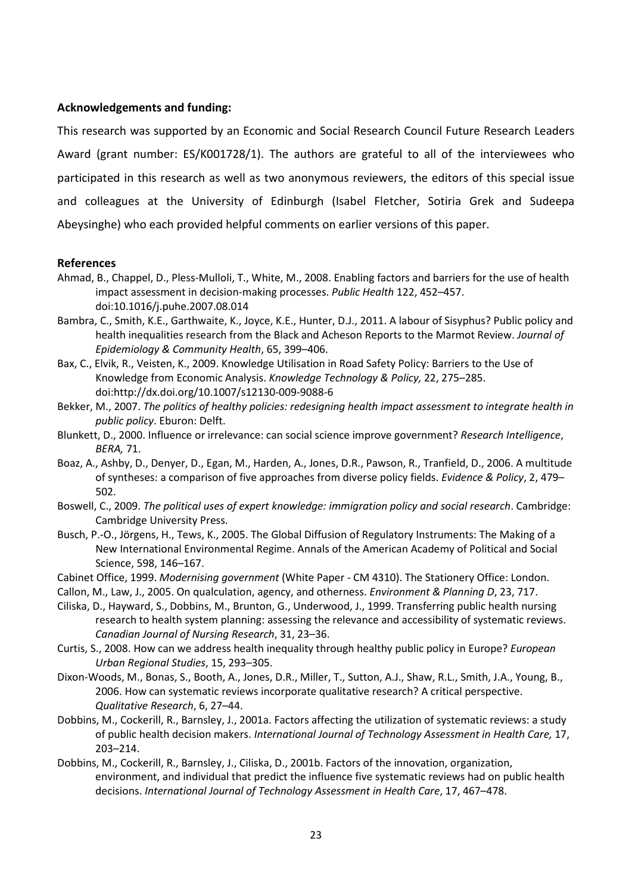#### **Acknowledgements and funding:**

This research was supported by an Economic and Social Research Council Future Research Leaders Award (grant number: ES/K001728/1). The authors are grateful to all of the interviewees who participated in this research as well as two anonymous reviewers, the editors of this special issue and colleagues at the University of Edinburgh (Isabel Fletcher, Sotiria Grek and Sudeepa Abeysinghe) who each provided helpful comments on earlier versions of this paper.

#### **References**

- Ahmad, B., Chappel, D., Pless-Mulloli, T., White, M., 2008. Enabling factors and barriers for the use of health impact assessment in decision-making processes. *Public Health* 122, 452–457. doi:10.1016/j.puhe.2007.08.014
- Bambra, C., Smith, K.E., Garthwaite, K., Joyce, K.E., Hunter, D.J., 2011. A labour of Sisyphus? Public policy and health inequalities research from the Black and Acheson Reports to the Marmot Review. *Journal of Epidemiology & Community Health*, 65, 399–406.
- Bax, C., Elvik, R., Veisten, K., 2009. Knowledge Utilisation in Road Safety Policy: Barriers to the Use of Knowledge from Economic Analysis. *Knowledge Technology & Policy,* 22, 275–285. doi:http://dx.doi.org/10.1007/s12130-009-9088-6
- Bekker, M., 2007. *The politics of healthy policies: redesigning health impact assessment to integrate health in public policy*. Eburon: Delft.
- Blunkett, D., 2000. Influence or irrelevance: can social science improve government? *Research Intelligence*, *BERA,* 71.
- Boaz, A., Ashby, D., Denyer, D., Egan, M., Harden, A., Jones, D.R., Pawson, R., Tranfield, D., 2006. A multitude of syntheses: a comparison of five approaches from diverse policy fields. *Evidence & Policy*, 2, 479– 502.
- Boswell, C., 2009. *The political uses of expert knowledge: immigration policy and social research*. Cambridge: Cambridge University Press.
- Busch, P.-O., Jörgens, H., Tews, K., 2005. The Global Diffusion of Regulatory Instruments: The Making of a New International Environmental Regime. Annals of the American Academy of Political and Social Science, 598, 146–167.
- Cabinet Office, 1999. *Modernising government* (White Paper CM 4310). The Stationery Office: London.
- Callon, M., Law, J., 2005. On qualculation, agency, and otherness. *Environment & Planning D*, 23, 717.
- Ciliska, D., Hayward, S., Dobbins, M., Brunton, G., Underwood, J., 1999. Transferring public health nursing research to health system planning: assessing the relevance and accessibility of systematic reviews. *Canadian Journal of Nursing Research*, 31, 23–36.
- Curtis, S., 2008. How can we address health inequality through healthy public policy in Europe? *European Urban Regional Studies*, 15, 293–305.
- Dixon-Woods, M., Bonas, S., Booth, A., Jones, D.R., Miller, T., Sutton, A.J., Shaw, R.L., Smith, J.A., Young, B., 2006. How can systematic reviews incorporate qualitative research? A critical perspective. *Qualitative Research*, 6, 27–44.
- Dobbins, M., Cockerill, R., Barnsley, J., 2001a. Factors affecting the utilization of systematic reviews: a study of public health decision makers. *International Journal of Technology Assessment in Health Care,* 17, 203–214.
- Dobbins, M., Cockerill, R., Barnsley, J., Ciliska, D., 2001b. Factors of the innovation, organization, environment, and individual that predict the influence five systematic reviews had on public health decisions. *International Journal of Technology Assessment in Health Care*, 17, 467–478.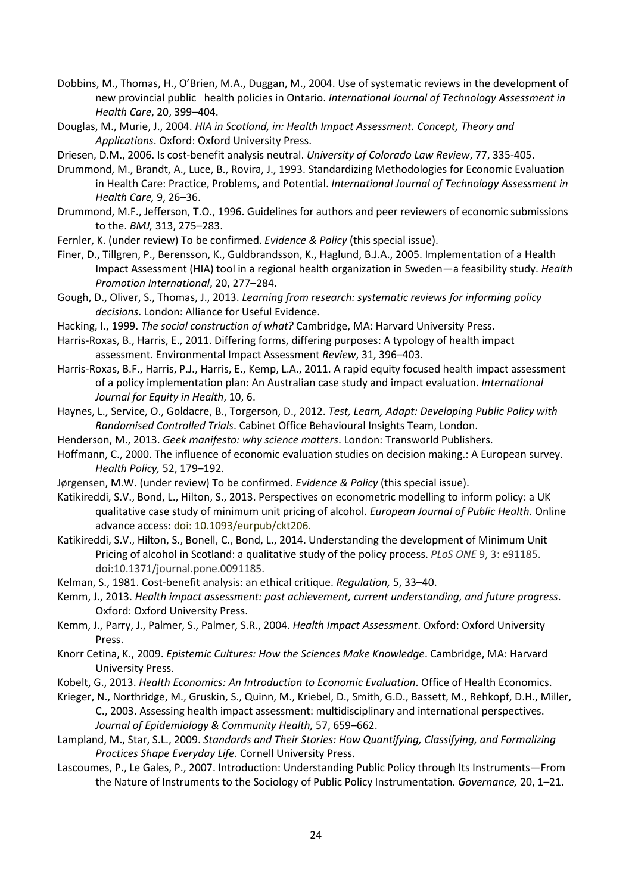- Dobbins, M., Thomas, H., O'Brien, M.A., Duggan, M., 2004. Use of systematic reviews in the development of new provincial public health policies in Ontario. *International Journal of Technology Assessment in Health Care*, 20, 399–404.
- Douglas, M., Murie, J., 2004. *HIA in Scotland, in: Health Impact Assessment. Concept, Theory and Applications*. Oxford: Oxford University Press.
- Driesen, D.M., 2006. Is cost-benefit analysis neutral. *University of Colorado Law Review*, 77, 335-405.
- Drummond, M., Brandt, A., Luce, B., Rovira, J., 1993. Standardizing Methodologies for Economic Evaluation in Health Care: Practice, Problems, and Potential. *International Journal of Technology Assessment in Health Care,* 9, 26–36.
- Drummond, M.F., Jefferson, T.O., 1996. Guidelines for authors and peer reviewers of economic submissions to the. *BMJ,* 313, 275–283.
- Fernler, K. (under review) To be confirmed. *Evidence & Policy* (this special issue).
- Finer, D., Tillgren, P., Berensson, K., Guldbrandsson, K., Haglund, B.J.A., 2005. Implementation of a Health Impact Assessment (HIA) tool in a regional health organization in Sweden—a feasibility study. *Health Promotion International*, 20, 277–284.
- Gough, D., Oliver, S., Thomas, J., 2013. *Learning from research: systematic reviews for informing policy decisions*. London: Alliance for Useful Evidence.
- Hacking, I., 1999. *The social construction of what?* Cambridge, MA: Harvard University Press.
- Harris-Roxas, B., Harris, E., 2011. Differing forms, differing purposes: A typology of health impact assessment. Environmental Impact Assessment *Review*, 31, 396–403.
- Harris-Roxas, B.F., Harris, P.J., Harris, E., Kemp, L.A., 2011. A rapid equity focused health impact assessment of a policy implementation plan: An Australian case study and impact evaluation. *International Journal for Equity in Health*, 10, 6.
- Haynes, L., Service, O., Goldacre, B., Torgerson, D., 2012. *Test, Learn, Adapt: Developing Public Policy with Randomised Controlled Trials*. Cabinet Office Behavioural Insights Team, London.
- Henderson, M., 2013. *Geek manifesto: why science matters*. London: Transworld Publishers.
- Hoffmann, C., 2000. The influence of economic evaluation studies on decision making.: A European survey. *Health Policy,* 52, 179–192.
- Jørgensen, M.W. (under review) To be confirmed. *Evidence & Policy* (this special issue).
- Katikireddi, S.V., Bond, L., Hilton, S., 2013. Perspectives on econometric modelling to inform policy: a UK qualitative case study of minimum unit pricing of alcohol. *European Journal of Public Health*. Online advance access: doi: 10.1093/eurpub/ckt206.
- Katikireddi, S.V., Hilton, S., Bonell, C., Bond, L., 2014. Understanding the development of Minimum Unit Pricing of alcohol in Scotland: a qualitative study of the policy process. *PLoS ONE* 9, 3: e91185. doi:10.1371/journal.pone.0091185.
- Kelman, S., 1981. Cost-benefit analysis: an ethical critique. *Regulation,* 5, 33–40.
- Kemm, J., 2013. *Health impact assessment: past achievement, current understanding, and future progress*. Oxford: Oxford University Press.
- Kemm, J., Parry, J., Palmer, S., Palmer, S.R., 2004. *Health Impact Assessment*. Oxford: Oxford University Press.
- Knorr Cetina, K., 2009. *Epistemic Cultures: How the Sciences Make Knowledge*. Cambridge, MA: Harvard University Press.
- Kobelt, G., 2013. *Health Economics: An Introduction to Economic Evaluation*. Office of Health Economics.
- Krieger, N., Northridge, M., Gruskin, S., Quinn, M., Kriebel, D., Smith, G.D., Bassett, M., Rehkopf, D.H., Miller, C., 2003. Assessing health impact assessment: multidisciplinary and international perspectives. *Journal of Epidemiology & Community Health,* 57, 659–662.
- Lampland, M., Star, S.L., 2009. *Standards and Their Stories: How Quantifying, Classifying, and Formalizing Practices Shape Everyday Life*. Cornell University Press.
- Lascoumes, P., Le Gales, P., 2007. Introduction: Understanding Public Policy through Its Instruments—From the Nature of Instruments to the Sociology of Public Policy Instrumentation. *Governance,* 20, 1–21.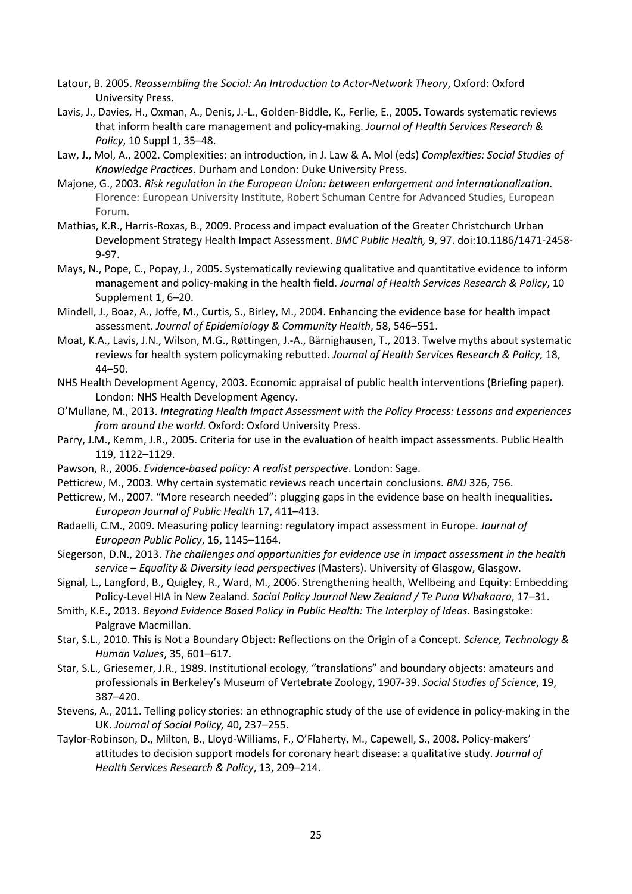- Latour, B. 2005. *Reassembling the Social: An Introduction to Actor-Network Theory*, Oxford: Oxford University Press.
- Lavis, J., Davies, H., Oxman, A., Denis, J.-L., Golden-Biddle, K., Ferlie, E., 2005. Towards systematic reviews that inform health care management and policy-making. *Journal of Health Services Research & Policy*, 10 Suppl 1, 35–48.
- Law, J., Mol, A., 2002. Complexities: an introduction, in J. Law & A. Mol (eds) *Complexities: Social Studies of Knowledge Practices*. Durham and London: Duke University Press.
- Majone, G., 2003. *Risk regulation in the European Union: between enlargement and internationalization*. Florence: European University Institute, Robert Schuman Centre for Advanced Studies, European Forum.
- Mathias, K.R., Harris-Roxas, B., 2009. Process and impact evaluation of the Greater Christchurch Urban Development Strategy Health Impact Assessment. *BMC Public Health,* 9, 97. doi:10.1186/1471-2458- 9-97.
- Mays, N., Pope, C., Popay, J., 2005. Systematically reviewing qualitative and quantitative evidence to inform management and policy-making in the health field. *Journal of Health Services Research & Policy*, 10 Supplement 1, 6–20.
- Mindell, J., Boaz, A., Joffe, M., Curtis, S., Birley, M., 2004. Enhancing the evidence base for health impact assessment. *Journal of Epidemiology & Community Health*, 58, 546–551.
- Moat, K.A., Lavis, J.N., Wilson, M.G., Røttingen, J.-A., Bärnighausen, T., 2013. Twelve myths about systematic reviews for health system policymaking rebutted. *Journal of Health Services Research & Policy,* 18, 44–50.
- NHS Health Development Agency, 2003. Economic appraisal of public health interventions (Briefing paper). London: NHS Health Development Agency.
- O'Mullane, M., 2013. *Integrating Health Impact Assessment with the Policy Process: Lessons and experiences from around the world*. Oxford: Oxford University Press.
- Parry, J.M., Kemm, J.R., 2005. Criteria for use in the evaluation of health impact assessments. Public Health 119, 1122–1129.
- Pawson, R., 2006. *Evidence-based policy: A realist perspective*. London: Sage.
- Petticrew, M., 2003. Why certain systematic reviews reach uncertain conclusions. *BMJ* 326, 756.
- Petticrew, M., 2007. "More research needed": plugging gaps in the evidence base on health inequalities. *European Journal of Public Health* 17, 411–413.
- Radaelli, C.M., 2009. Measuring policy learning: regulatory impact assessment in Europe. *Journal of European Public Policy*, 16, 1145–1164.
- Siegerson, D.N., 2013. *The challenges and opportunities for evidence use in impact assessment in the health service – Equality & Diversity lead perspectives* (Masters). University of Glasgow, Glasgow.
- Signal, L., Langford, B., Quigley, R., Ward, M., 2006. Strengthening health, Wellbeing and Equity: Embedding Policy-Level HIA in New Zealand. *Social Policy Journal New Zealand / Te Puna Whakaaro*, 17–31.
- Smith, K.E., 2013. *Beyond Evidence Based Policy in Public Health: The Interplay of Ideas*. Basingstoke: Palgrave Macmillan.
- Star, S.L., 2010. This is Not a Boundary Object: Reflections on the Origin of a Concept. *Science, Technology & Human Values*, 35, 601–617.
- Star, S.L., Griesemer, J.R., 1989. Institutional ecology, "translations" and boundary objects: amateurs and professionals in Berkeley's Museum of Vertebrate Zoology, 1907-39. *Social Studies of Science*, 19, 387–420.
- Stevens, A., 2011. Telling policy stories: an ethnographic study of the use of evidence in policy-making in the UK. *Journal of Social Policy,* 40, 237–255.
- Taylor-Robinson, D., Milton, B., Lloyd-Williams, F., O'Flaherty, M., Capewell, S., 2008. Policy-makers' attitudes to decision support models for coronary heart disease: a qualitative study. *Journal of Health Services Research & Policy*, 13, 209–214.